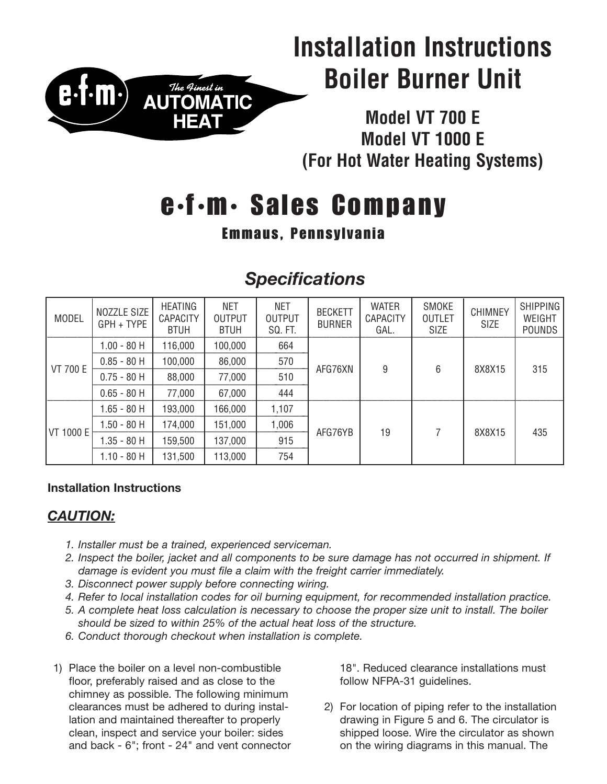

# **Installation Instructions Boiler Burner Unit**

**Model VT 700 E Model VT 1000 E (For Hot Water Heating Systems)**

# **e •f •m• Sales Company**

## **Emmaus, Pennsylvania**

## *Specifications*

| <b>MODEL</b>    | NOZZLE SIZE<br>GPH + TYPE | <b>HEATING</b><br><b>CAPACITY</b><br><b>BTUH</b> | <b>NET</b><br><b>OUTPUT</b><br><b>BTUH</b> | <b>NET</b><br><b>OUTPUT</b><br>SQ. FT. | <b>BECKETT</b><br><b>BURNER</b> | <b>WATER</b><br><b>CAPACITY</b><br>GAL. | SMOKE<br><b>OUTLET</b><br><b>SIZE</b> | <b>CHIMNEY</b><br><b>SIZE</b> | <b>SHIPPING</b><br>WEIGHT<br><b>POUNDS</b> |
|-----------------|---------------------------|--------------------------------------------------|--------------------------------------------|----------------------------------------|---------------------------------|-----------------------------------------|---------------------------------------|-------------------------------|--------------------------------------------|
| <b>VT 700 E</b> | $1.00 - 80$ H             | 116,000                                          | 100,000                                    | 664                                    | AFG76XN                         | 9                                       | 6                                     | 8X8X15                        | 315                                        |
|                 | $0.85 - 80$ H             | 100,000                                          | 86,000                                     | 570                                    |                                 |                                         |                                       |                               |                                            |
|                 | $0.75 - 80$ H             | 88,000                                           | 77,000                                     | 510                                    |                                 |                                         |                                       |                               |                                            |
|                 | $0.65 - 80$ H             | 77,000                                           | 67,000                                     | 444                                    |                                 |                                         |                                       |                               |                                            |
| VT 1000 E       | $1.65 - 80$ H             | 193,000                                          | 166,000                                    | 1,107                                  | AFG76YB                         | 19                                      |                                       | 8X8X15                        | 435                                        |
|                 | $1.50 - 80$ H             | 174,000                                          | 151,000                                    | 1,006                                  |                                 |                                         |                                       |                               |                                            |
|                 | $1.35 - 80$ H             | 159,500                                          | 137,000                                    | 915                                    |                                 |                                         |                                       |                               |                                            |
|                 | $1.10 - 80$ H             | 131,500                                          | 113,000                                    | 754                                    |                                 |                                         |                                       |                               |                                            |

### **Installation Instructions**

## *CAUTION:*

- *1. Installer must be a trained, experienced serviceman.*
- 2. Inspect the boiler, jacket and all components to be sure damage has not occurred in shipment. If *damage is evident you must file a claim with the freight carrier immediately.*
- *3. Disconnect power supply before connecting wiring.*
- *4. Refer to local installation codes for oil burning equipment, for recommended installation practice.*
- 5. A complete heat loss calculation is necessary to choose the proper size unit to install. The boiler *should be sized to within 25% of the actual heat loss of the structure.*
- *6. Conduct thorough checkout when installation is complete.*
- 1) Place the boiler on a level non-combustible floor, preferably raised and as close to the chimney as possible. The following minimum clearances must be adhered to during installation and maintained thereafter to properly clean, inspect and service your boiler: sides and back - 6"; front - 24" and vent connector

18". Reduced clearance installations must follow NFPA-31 guidelines.

2) For location of piping refer to the installation drawing in Figure 5 and 6. The circulator is shipped loose. Wire the circulator as shown on the wiring diagrams in this manual. The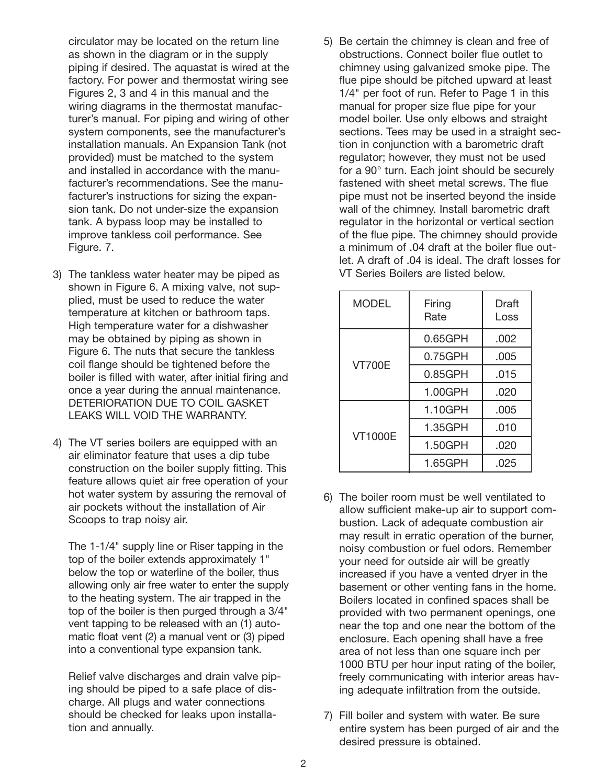circulator may be located on the return line as shown in the diagram or in the supply piping if desired. The aquastat is wired at the factory. For power and thermostat wiring see Figures 2, 3 and 4 in this manual and the wiring diagrams in the thermostat manufacturer's manual. For piping and wiring of other system components, see the manufacturer's installation manuals. An Expansion Tank (not provided) must be matched to the system and installed in accordance with the manufacturer's recommendations. See the manufacturer's instructions for sizing the expansion tank. Do not under-size the expansion tank. A bypass loop may be installed to improve tankless coil performance. See Figure. 7.

- 3) The tankless water heater may be piped as shown in Figure 6. A mixing valve, not supplied, must be used to reduce the water temperature at kitchen or bathroom taps. High temperature water for a dishwasher may be obtained by piping as shown in Figure 6. The nuts that secure the tankless coil flange should be tightened before the boiler is filled with water, after initial firing and once a year during the annual maintenance. DETERIORATION DUE TO COIL GASKET LEAKS WILL VOID THE WARRANTY.
- 4) The VT series boilers are equipped with an air eliminator feature that uses a dip tube construction on the boiler supply fitting. This feature allows quiet air free operation of your hot water system by assuring the removal of air pockets without the installation of Air Scoops to trap noisy air.

The 1-1/4" supply line or Riser tapping in the top of the boiler extends approximately 1" below the top or waterline of the boiler, thus allowing only air free water to enter the supply to the heating system. The air trapped in the top of the boiler is then purged through a 3/4" vent tapping to be released with an (1) automatic float vent (2) a manual vent or (3) piped into a conventional type expansion tank.

Relief valve discharges and drain valve piping should be piped to a safe place of discharge. All plugs and water connections should be checked for leaks upon installation and annually.

5) Be certain the chimney is clean and free of obstructions. Connect boiler flue outlet to chimney using galvanized smoke pipe. The flue pipe should be pitched upward at least 1/4" per foot of run. Refer to Page 1 in this manual for proper size flue pipe for your model boiler. Use only elbows and straight sections. Tees may be used in a straight section in conjunction with a barometric draft regulator; however, they must not be used for a 90° turn. Each joint should be securely fastened with sheet metal screws. The flue pipe must not be inserted beyond the inside wall of the chimney. Install barometric draft regulator in the horizontal or vertical section of the flue pipe. The chimney should provide a minimum of .04 draft at the boiler flue outlet. A draft of .04 is ideal. The draft losses for VT Series Boilers are listed below.

| <b>MODEL</b>   | Firing<br>Rate | Draft<br>Loss |
|----------------|----------------|---------------|
|                | 0.65GPH        | .002          |
| <b>VT700E</b>  | 0.75GPH        | .005          |
|                | 0.85GPH        | .015          |
|                | 1.00GPH        | .020          |
|                | 1.10GPH        | .005          |
| <b>VT1000E</b> | 1.35GPH        | .010          |
|                | 1.50GPH        | .020          |
|                | 1.65GPH        | .025          |

- 6) The boiler room must be well ventilated to allow sufficient make-up air to support combustion. Lack of adequate combustion air may result in erratic operation of the burner, noisy combustion or fuel odors. Remember your need for outside air will be greatly increased if you have a vented dryer in the basement or other venting fans in the home. Boilers located in confined spaces shall be provided with two permanent openings, one near the top and one near the bottom of the enclosure. Each opening shall have a free area of not less than one square inch per 1000 BTU per hour input rating of the boiler, freely communicating with interior areas having adequate infiltration from the outside.
- 7) Fill boiler and system with water. Be sure entire system has been purged of air and the desired pressure is obtained.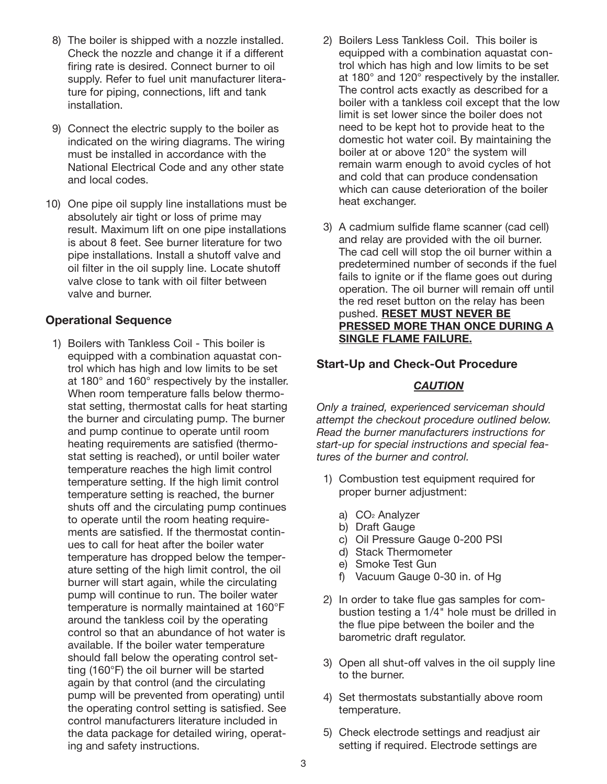- 8) The boiler is shipped with a nozzle installed. Check the nozzle and change it if a different firing rate is desired. Connect burner to oil supply. Refer to fuel unit manufacturer literature for piping, connections, lift and tank installation.
- 9) Connect the electric supply to the boiler as indicated on the wiring diagrams. The wiring must be installed in accordance with the National Electrical Code and any other state and local codes.
- 10) One pipe oil supply line installations must be absolutely air tight or loss of prime may result. Maximum lift on one pipe installations is about 8 feet. See burner literature for two pipe installations. Install a shutoff valve and oil filter in the oil supply line. Locate shutoff valve close to tank with oil filter between valve and burner.

#### **Operational Sequence**

1) Boilers with Tankless Coil - This boiler is equipped with a combination aquastat control which has high and low limits to be set at 180° and 160° respectively by the installer. When room temperature falls below thermostat setting, thermostat calls for heat starting the burner and circulating pump. The burner and pump continue to operate until room heating requirements are satisfied (thermostat setting is reached), or until boiler water temperature reaches the high limit control temperature setting. If the high limit control temperature setting is reached, the burner shuts off and the circulating pump continues to operate until the room heating requirements are satisfied. If the thermostat continues to call for heat after the boiler water temperature has dropped below the temperature setting of the high limit control, the oil burner will start again, while the circulating pump will continue to run. The boiler water temperature is normally maintained at 160°F around the tankless coil by the operating control so that an abundance of hot water is available. If the boiler water temperature should fall below the operating control setting (160°F) the oil burner will be started again by that control (and the circulating pump will be prevented from operating) until the operating control setting is satisfied. See control manufacturers literature included in the data package for detailed wiring, operating and safety instructions.

- 2) Boilers Less Tankless Coil. This boiler is equipped with a combination aquastat control which has high and low limits to be set at 180° and 120° respectively by the installer. The control acts exactly as described for a boiler with a tankless coil except that the low limit is set lower since the boiler does not need to be kept hot to provide heat to the domestic hot water coil. By maintaining the boiler at or above 120° the system will remain warm enough to avoid cycles of hot and cold that can produce condensation which can cause deterioration of the boiler heat exchanger.
- 3) A cadmium sulfide flame scanner (cad cell) and relay are provided with the oil burner. The cad cell will stop the oil burner within a predetermined number of seconds if the fuel fails to ignite or if the flame goes out during operation. The oil burner will remain off until the red reset button on the relay has been pushed. **RESET MUST NEVER BE PRESSED MORE THAN ONCE DURING A SINGLE FLAME FAILURE.**

#### **Start-Up and Check-Out Procedure**

#### *CAUTION*

*Only a trained, experienced serviceman should attempt the checkout procedure outlined below. Read the burner manufacturers instructions for start-up for special instructions and special features of the burner and control.*

- 1) Combustion test equipment required for proper burner adjustment:
	- a) CO2 Analyzer
	- b) Draft Gauge
	- c) Oil Pressure Gauge 0-200 PSI
	- d) Stack Thermometer
	- e) Smoke Test Gun
	- f) Vacuum Gauge 0-30 in. of Hg
- 2) In order to take flue gas samples for combustion testing a 1/4" hole must be drilled in the flue pipe between the boiler and the barometric draft regulator.
- 3) Open all shut-off valves in the oil supply line to the burner.
- 4) Set thermostats substantially above room temperature.
- 5) Check electrode settings and readjust air setting if required. Electrode settings are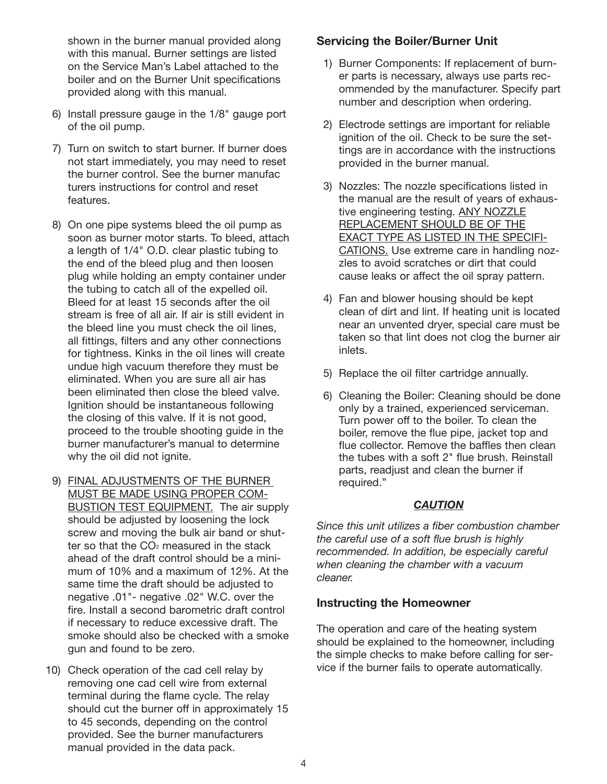shown in the burner manual provided along with this manual. Burner settings are listed on the Service Man's Label attached to the boiler and on the Burner Unit specifications provided along with this manual.

- 6) Install pressure gauge in the 1/8" gauge port of the oil pump.
- 7) Turn on switch to start burner. If burner does not start immediately, you may need to reset the burner control. See the burner manufac turers instructions for control and reset features.
- 8) On one pipe systems bleed the oil pump as soon as burner motor starts. To bleed, attach a length of 1/4" O.D. clear plastic tubing to the end of the bleed plug and then loosen plug while holding an empty container under the tubing to catch all of the expelled oil. Bleed for at least 15 seconds after the oil stream is free of all air. If air is still evident in the bleed line you must check the oil lines, all fittings, filters and any other connections for tightness. Kinks in the oil lines will create undue high vacuum therefore they must be eliminated. When you are sure all air has been eliminated then close the bleed valve. Ignition should be instantaneous following the closing of this valve. If it is not good, proceed to the trouble shooting guide in the burner manufacturer's manual to determine why the oil did not ignite.
- 9) FINAL ADJUSTMENTS OF THE BURNER MUST BE MADE USING PROPER COM-BUSTION TEST EQUIPMENT. The air supply should be adjusted by loosening the lock screw and moving the bulk air band or shutter so that the  $CO<sub>2</sub>$  measured in the stack ahead of the draft control should be a minimum of 10% and a maximum of 12%. At the same time the draft should be adjusted to negative .01"- negative .02" W.C. over the fire. Install a second barometric draft control if necessary to reduce excessive draft. The smoke should also be checked with a smoke gun and found to be zero.
- 10) Check operation of the cad cell relay by removing one cad cell wire from external terminal during the flame cycle. The relay should cut the burner off in approximately 15 to 45 seconds, depending on the control provided. See the burner manufacturers manual provided in the data pack.

#### **Servicing the Boiler/Burner Unit**

- 1) Burner Components: If replacement of burner parts is necessary, always use parts recommended by the manufacturer. Specify part number and description when ordering.
- 2) Electrode settings are important for reliable ignition of the oil. Check to be sure the settings are in accordance with the instructions provided in the burner manual.
- 3) Nozzles: The nozzle specifications listed in the manual are the result of years of exhaustive engineering testing. ANY NOZZLE REPLACEMENT SHOULD BE OF THE EXACT TYPE AS LISTED IN THE SPECIFI-CATIONS. Use extreme care in handling nozzles to avoid scratches or dirt that could cause leaks or affect the oil spray pattern.
- 4) Fan and blower housing should be kept clean of dirt and lint. If heating unit is located near an unvented dryer, special care must be taken so that lint does not clog the burner air inlets.
- 5) Replace the oil filter cartridge annually.
- 6) Cleaning the Boiler: Cleaning should be done only by a trained, experienced serviceman. Turn power off to the boiler. To clean the boiler, remove the flue pipe, jacket top and flue collector. Remove the baffles then clean the tubes with a soft 2" flue brush. Reinstall parts, readjust and clean the burner if required."

#### *CAUTION*

*Since this unit utilizes a fiber combustion chamber the careful use of a soft flue brush is highly recommended. In addition, be especially careful when cleaning the chamber with a vacuum cleaner.*

#### **Instructing the Homeowner**

The operation and care of the heating system should be explained to the homeowner, including the simple checks to make before calling for service if the burner fails to operate automatically.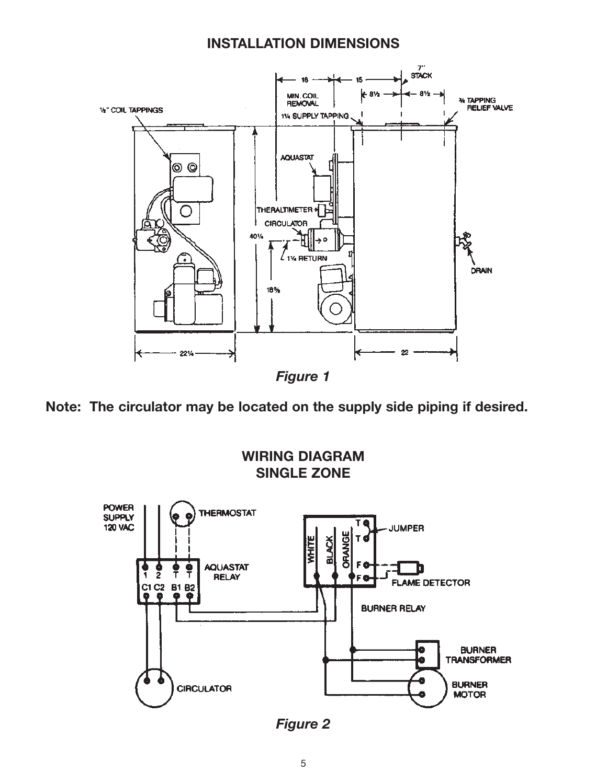### **INSTALLATION DIMENSIONS**



**Note: The circulator may be located on the supply side piping if desired.**



*Figure 2*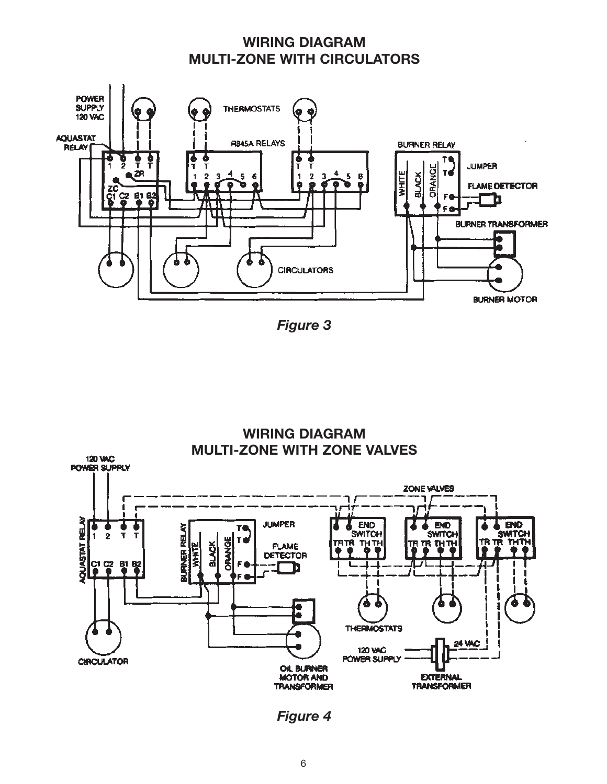## **WIRING DIAGRAM MULTI-ZONE WITH CIRCULATORS**



*Figure 3*



*Figure 4*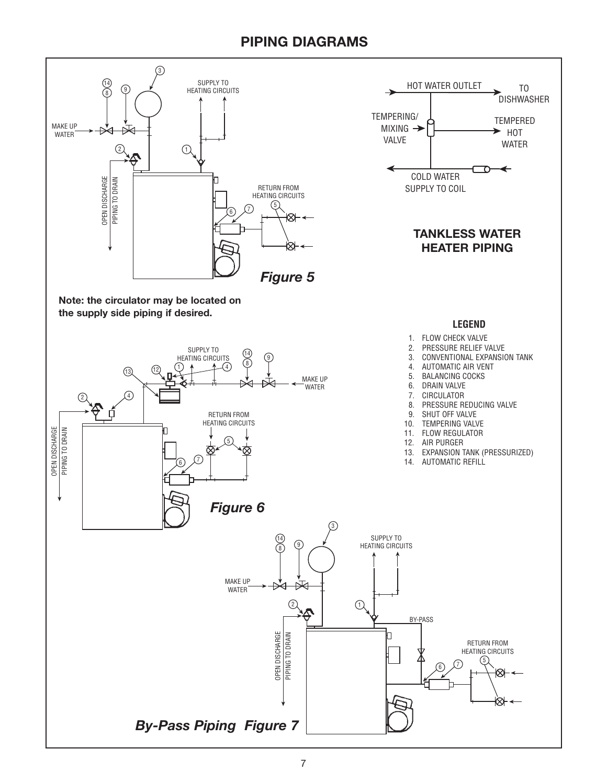## **PIPING DIAGRAMS**